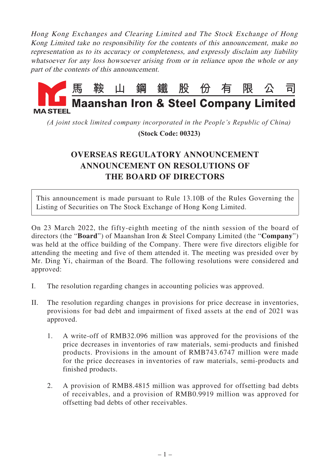Hong Kong Exchanges and Clearing Limited and The Stock Exchange of Hong Kong Limited take no responsibility for the contents of this announcement, make no representation as to its accuracy or completeness, and expressly disclaim any liability whatsoever for any loss howsoever arising from or in reliance upon the whole or any part of the contents of this announcement.



*(A joint stock limited company incorporated in the People's Republic of China)*

 **(Stock Code: 00323)**

## **OVERSEAS REGULATORY ANNOUNCEMENT ANNOUNCEMENT ON RESOLUTIONS OF THE BOARD OF DIRECTORS**

This announcement is made pursuant to Rule 13.10B of the Rules Governing the Listing of Securities on The Stock Exchange of Hong Kong Limited.

On 23 March 2022, the fifty-eighth meeting of the ninth session of the board of directors (the "**Board**") of Maanshan Iron & Steel Company Limited (the "**Company**") was held at the office building of the Company. There were five directors eligible for attending the meeting and five of them attended it. The meeting was presided over by Mr. Ding Yi, chairman of the Board. The following resolutions were considered and approved:

- I. The resolution regarding changes in accounting policies was approved.
- II. The resolution regarding changes in provisions for price decrease in inventories, provisions for bad debt and impairment of fixed assets at the end of 2021 was approved.
	- 1. A write-off of RMB32.096 million was approved for the provisions of the price decreases in inventories of raw materials, semi-products and finished products. Provisions in the amount of RMB743.6747 million were made for the price decreases in inventories of raw materials, semi-products and finished products.
	- 2. A provision of RMB8.4815 million was approved for offsetting bad debts of receivables, and a provision of RMB0.9919 million was approved for offsetting bad debts of other receivables.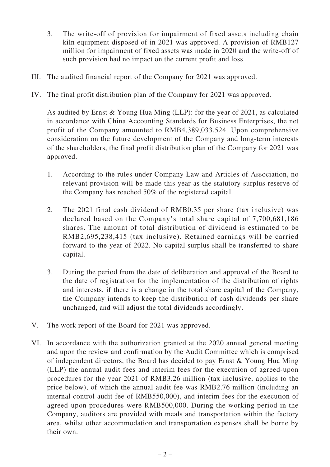- 3. The write-off of provision for impairment of fixed assets including chain kiln equipment disposed of in 2021 was approved. A provision of RMB127 million for impairment of fixed assets was made in 2020 and the write-off of such provision had no impact on the current profit and loss.
- III. The audited financial report of the Company for 2021 was approved.
- IV. The final profit distribution plan of the Company for 2021 was approved.

As audited by Ernst & Young Hua Ming (LLP): for the year of 2021, as calculated in accordance with China Accounting Standards for Business Enterprises, the net profit of the Company amounted to RMB4,389,033,524. Upon comprehensive consideration on the future development of the Company and long-term interests of the shareholders, the final profit distribution plan of the Company for 2021 was approved.

- 1. According to the rules under Company Law and Articles of Association, no relevant provision will be made this year as the statutory surplus reserve of the Company has reached 50% of the registered capital.
- 2. The 2021 final cash dividend of RMB0.35 per share (tax inclusive) was declared based on the Company's total share capital of 7,700,681,186 shares. The amount of total distribution of dividend is estimated to be RMB2,695,238,415 (tax inclusive). Retained earnings will be carried forward to the year of 2022. No capital surplus shall be transferred to share capital.
- 3. During the period from the date of deliberation and approval of the Board to the date of registration for the implementation of the distribution of rights and interests, if there is a change in the total share capital of the Company, the Company intends to keep the distribution of cash dividends per share unchanged, and will adjust the total dividends accordingly.
- V. The work report of the Board for 2021 was approved.
- VI. In accordance with the authorization granted at the 2020 annual general meeting and upon the review and confirmation by the Audit Committee which is comprised of independent directors, the Board has decided to pay Ernst & Young Hua Ming (LLP) the annual audit fees and interim fees for the execution of agreed-upon procedures for the year 2021 of RMB3.26 million (tax inclusive, applies to the price below), of which the annual audit fee was RMB2.76 million (including an internal control audit fee of RMB550,000), and interim fees for the execution of agreed-upon procedures were RMB500,000. During the working period in the Company, auditors are provided with meals and transportation within the factory area, whilst other accommodation and transportation expenses shall be borne by their own.